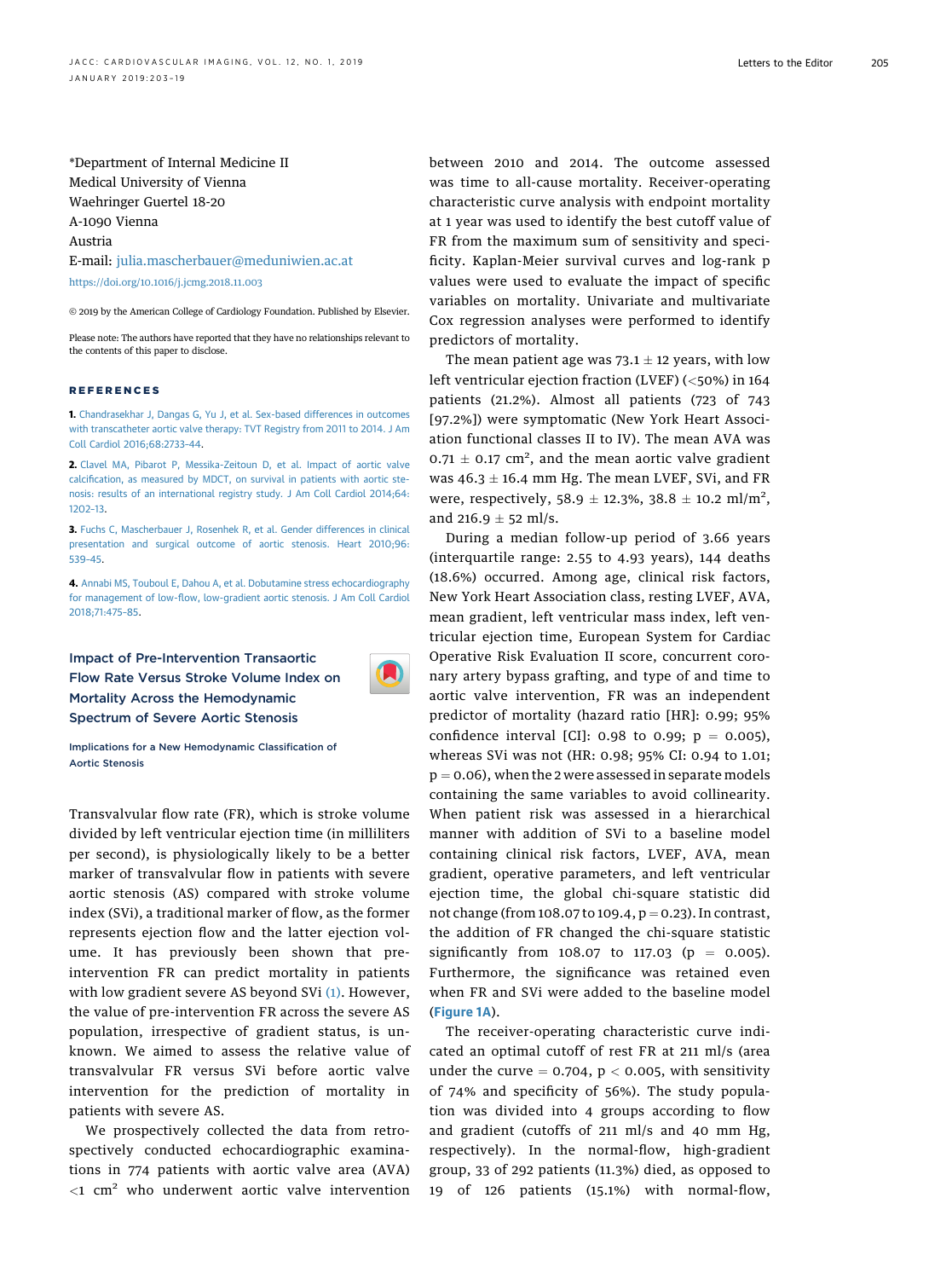\*Department of Internal Medicine II Medical University of Vienna Waehringer Guertel 18-20 A-1090 Vienna Austria

E-mail: [julia.mascherbauer@meduniwien.ac.at](mailto:julia.mascherbauer@meduniwien.ac.at)

<https://doi.org/10.1016/j.jcmg.2018.11.003>

© 2019 by the American College of Cardiology Foundation. Published by Elsevier.

Please note: The authors have reported that they have no relationships relevant to the contents of this paper to disclose.

## REFERENCES

1. [Chandrasekhar J, Dangas G, Yu J, et al. Sex-based differences in outcomes](http://refhub.elsevier.com/S1936-878X(18)30536-9/sref1) [with transcatheter aortic valve therapy: TVT Registry from 2011 to 2014. J Am](http://refhub.elsevier.com/S1936-878X(18)30536-9/sref1) [Coll Cardiol 2016;68:2733](http://refhub.elsevier.com/S1936-878X(18)30536-9/sref1)–44.

2. [Clavel MA, Pibarot P, Messika-Zeitoun D, et al. Impact of aortic valve](http://refhub.elsevier.com/S1936-878X(18)30536-9/sref2) calcifi[cation, as measured by MDCT, on survival in patients with aortic ste](http://refhub.elsevier.com/S1936-878X(18)30536-9/sref2)[nosis: results of an international registry study. J Am Coll Cardiol 2014;64:](http://refhub.elsevier.com/S1936-878X(18)30536-9/sref2) [1202](http://refhub.elsevier.com/S1936-878X(18)30536-9/sref2)–13.

3. [Fuchs C, Mascherbauer J, Rosenhek R, et al. Gender differences in clinical](http://refhub.elsevier.com/S1936-878X(18)30536-9/sref3) [presentation and surgical outcome of aortic stenosis. Heart 2010;96:](http://refhub.elsevier.com/S1936-878X(18)30536-9/sref3) [539](http://refhub.elsevier.com/S1936-878X(18)30536-9/sref3)–45.

4. [Annabi MS, Touboul E, Dahou A, et al. Dobutamine stress echocardiography](http://refhub.elsevier.com/S1936-878X(18)30536-9/sref4) for management of low-fl[ow, low-gradient aortic stenosis. J Am Coll Cardiol](http://refhub.elsevier.com/S1936-878X(18)30536-9/sref4) [2018;71:475](http://refhub.elsevier.com/S1936-878X(18)30536-9/sref4)–85.

Impact of Pre-Intervention Transaortic Flow Rate Versus Stroke Volume Index on Mortality Across the Hemodynamic Spectrum of Severe Aortic Stenosis



Implications for a New Hemodynamic Classification of Aortic Stenosis

Transvalvular flow rate (FR), which is stroke volume divided by left ventricular ejection time (in milliliters per second), is physiologically likely to be a better marker of transvalvular flow in patients with severe aortic stenosis (AS) compared with stroke volume index (SVi), a traditional marker of flow, as the former represents ejection flow and the latter ejection volume. It has previously been shown that preintervention FR can predict mortality in patients with low gradient severe AS beyond SVi [\(1\)](#page-1-0). However, the value of pre-intervention FR across the severe AS population, irrespective of gradient status, is unknown. We aimed to assess the relative value of transvalvular FR versus SVi before aortic valve intervention for the prediction of mortality in patients with severe AS.

We prospectively collected the data from retrospectively conducted echocardiographic examinations in 774 patients with aortic valve area (AVA)  $<$ 1 cm<sup>2</sup> who underwent aortic valve intervention between 2010 and 2014. The outcome assessed was time to all-cause mortality. Receiver-operating characteristic curve analysis with endpoint mortality at 1 year was used to identify the best cutoff value of FR from the maximum sum of sensitivity and specificity. Kaplan-Meier survival curves and log-rank p values were used to evaluate the impact of specific variables on mortality. Univariate and multivariate Cox regression analyses were performed to identify predictors of mortality.

The mean patient age was  $73.1 \pm 12$  years, with low left ventricular ejection fraction (LVEF) (<50%) in 164 patients (21.2%). Almost all patients (723 of 743 [97.2%]) were symptomatic (New York Heart Association functional classes II to IV). The mean AVA was  $0.71 \pm 0.17$  cm<sup>2</sup>, and the mean aortic valve gradient was  $46.3 \pm 16.4$  mm Hg. The mean LVEF, SVi, and FR were, respectively, 58.9  $\pm$  12.3%, 38.8  $\pm$  10.2 ml/m<sup>2</sup>, and  $216.9 \pm 52$  ml/s.

During a median follow-up period of 3.66 years (interquartile range: 2.55 to 4.93 years), 144 deaths (18.6%) occurred. Among age, clinical risk factors, New York Heart Association class, resting LVEF, AVA, mean gradient, left ventricular mass index, left ventricular ejection time, European System for Cardiac Operative Risk Evaluation II score, concurrent coronary artery bypass grafting, and type of and time to aortic valve intervention, FR was an independent predictor of mortality (hazard ratio [HR]: 0.99; 95% confidence interval [CI]: 0.98 to 0.99;  $p = 0.005$ ), whereas SVi was not (HR: 0.98; 95% CI: 0.94 to 1.01;  $p = 0.06$ ), when the 2 were assessed in separate models containing the same variables to avoid collinearity. When patient risk was assessed in a hierarchical manner with addition of SVi to a baseline model containing clinical risk factors, LVEF, AVA, mean gradient, operative parameters, and left ventricular ejection time, the global chi-square statistic did not change (from  $108.07$  to  $109.4$ ,  $p = 0.23$ ). In contrast, the addition of FR changed the chi-square statistic significantly from 108.07 to 117.03 ( $p = 0.005$ ). Furthermore, the significance was retained even when FR and SVi were added to the baseline model ([Figure 1A](#page-1-0)).

The receiver-operating characteristic curve indicated an optimal cutoff of rest FR at 211 ml/s (area under the curve  $= 0.704$ ,  $p < 0.005$ , with sensitivity of 74% and specificity of 56%). The study population was divided into 4 groups according to flow and gradient (cutoffs of 211 ml/s and 40 mm Hg, respectively). In the normal-flow, high-gradient group, 33 of 292 patients (11.3%) died, as opposed to 19 of 126 patients (15.1%) with normal-flow,